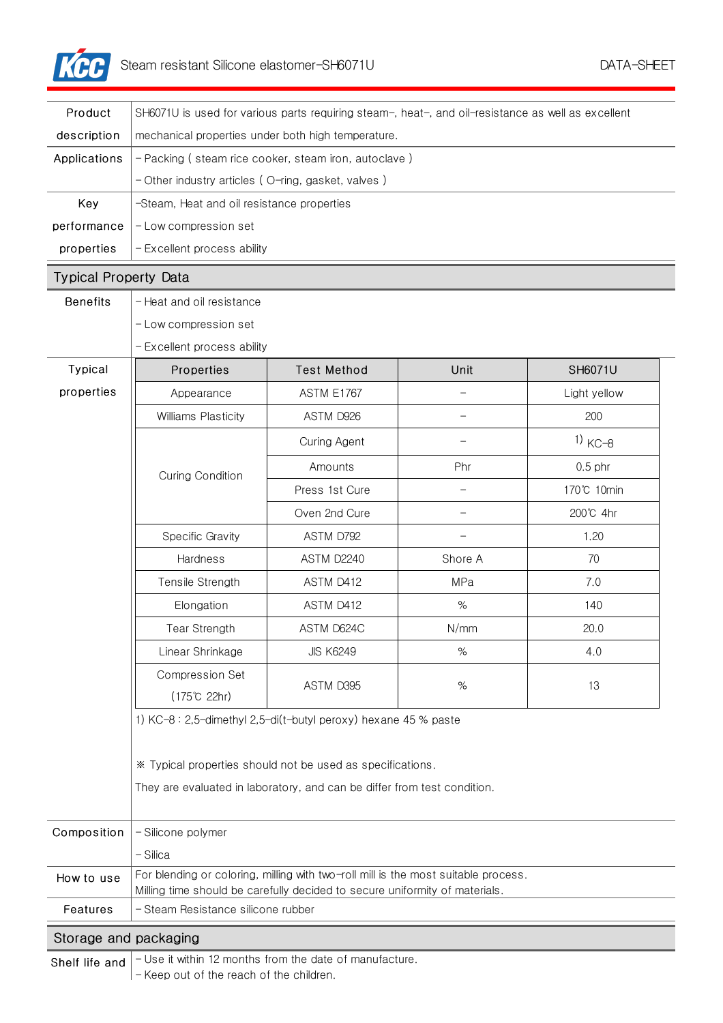

| Product                                                                   | SH6071U is used for various parts requiring steam-, heat-, and oil-resistance as well as excellent                                                                |                    |         |              |  |
|---------------------------------------------------------------------------|-------------------------------------------------------------------------------------------------------------------------------------------------------------------|--------------------|---------|--------------|--|
| description                                                               | mechanical properties under both high temperature.                                                                                                                |                    |         |              |  |
| Applications                                                              | - Packing (steam rice cooker, steam iron, autoclave)                                                                                                              |                    |         |              |  |
|                                                                           | - Other industry articles (O-ring, gasket, valves)                                                                                                                |                    |         |              |  |
| Key                                                                       | -Steam, Heat and oil resistance properties                                                                                                                        |                    |         |              |  |
| performance                                                               | - Low compression set                                                                                                                                             |                    |         |              |  |
| properties                                                                | - Excellent process ability                                                                                                                                       |                    |         |              |  |
| <b>Typical Property Data</b>                                              |                                                                                                                                                                   |                    |         |              |  |
| <b>Benefits</b>                                                           | - Heat and oil resistance                                                                                                                                         |                    |         |              |  |
|                                                                           | - Low compression set                                                                                                                                             |                    |         |              |  |
|                                                                           | - Excellent process ability                                                                                                                                       |                    |         |              |  |
| Typical                                                                   | Properties                                                                                                                                                        | <b>Test Method</b> | Unit    | SH6071U      |  |
| properties                                                                | Appearance                                                                                                                                                        | <b>ASTM E1767</b>  |         | Light yellow |  |
|                                                                           | Williams Plasticity                                                                                                                                               | ASTM D926          |         | 200          |  |
|                                                                           | <b>Curing Condition</b>                                                                                                                                           | Curing Agent       |         | $1)$ KC-8    |  |
|                                                                           |                                                                                                                                                                   | Amounts            | Phr     | $0.5$ phr    |  |
|                                                                           |                                                                                                                                                                   | Press 1st Cure     |         | 170℃ 10min   |  |
|                                                                           |                                                                                                                                                                   | Oven 2nd Cure      |         | 200℃ 4hr     |  |
|                                                                           | Specific Gravity                                                                                                                                                  | ASTM D792          |         | 1.20         |  |
|                                                                           | Hardness                                                                                                                                                          | ASTM D2240         | Shore A | 70           |  |
|                                                                           | Tensile Strength                                                                                                                                                  | ASTM D412          | MPa     | 7.0          |  |
|                                                                           | Elongation                                                                                                                                                        | ASTM D412          | $\%$    | 140          |  |
|                                                                           | <b>Tear Strength</b>                                                                                                                                              | ASTM D624C         | N/mm    | 20.0         |  |
|                                                                           | Linear Shrinkage                                                                                                                                                  | <b>JIS K6249</b>   | %       | 4.0          |  |
|                                                                           | <b>Compression Set</b>                                                                                                                                            | ASTM D395          | $\%$    | 13           |  |
|                                                                           | (175℃ 22hr)                                                                                                                                                       |                    |         |              |  |
|                                                                           | 1) KC-8: 2,5-dimethyl 2,5-di(t-butyl peroxy) hexane 45 % paste                                                                                                    |                    |         |              |  |
|                                                                           |                                                                                                                                                                   |                    |         |              |  |
|                                                                           | * Typical properties should not be used as specifications.                                                                                                        |                    |         |              |  |
|                                                                           | They are evaluated in laboratory, and can be differ from test condition.                                                                                          |                    |         |              |  |
| Composition                                                               | - Silicone polymer                                                                                                                                                |                    |         |              |  |
|                                                                           | - Silica                                                                                                                                                          |                    |         |              |  |
| How to use                                                                | For blending or coloring, milling with two-roll mill is the most suitable process.<br>Milling time should be carefully decided to secure uniformity of materials. |                    |         |              |  |
| Features                                                                  | - Steam Resistance silicone rubber                                                                                                                                |                    |         |              |  |
| Storage and packaging                                                     |                                                                                                                                                                   |                    |         |              |  |
| - Use it within 12 months from the date of manufacture.<br>Shelf life and |                                                                                                                                                                   |                    |         |              |  |

- Keep out of the reach of the children.